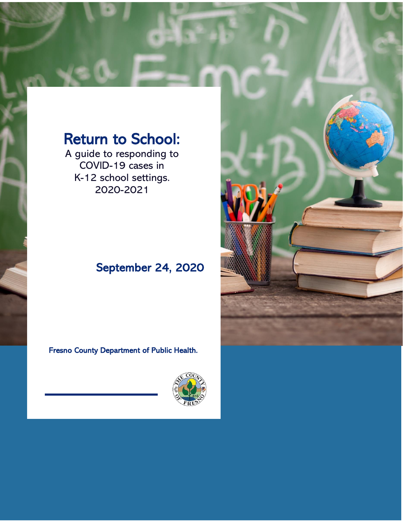# Return to School:

A guide to responding to COVID-19 cases in K-12 school settings. 2020-2021

# September 24, 2020

Fresno County Department of Public Health.



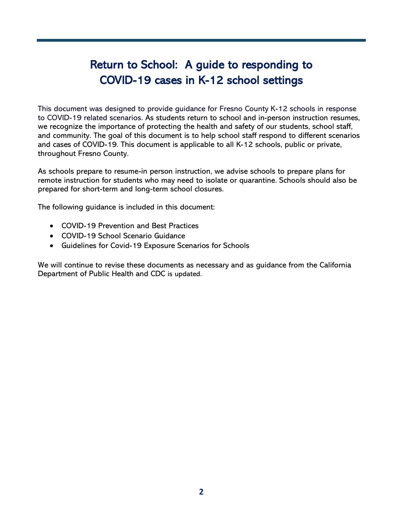# Return to School: A guide to responding to COVID-19 cases in K-12 school settings

This document was designed to provide guidance for Fresno County K-12 schools in response to COVID-19 related scenarios. As students return to school and in-person instruction resumes, we recognize the importance of protecting the health and safety of our students, school staff, and community. The goal of this document is to help school staff respond to different scenarios and cases of COVID-19. This document is applicable to all K-12 schools, public or private, throughout Fresno County.

As schools prepare to resume-in person instruction, we advise schools to prepare plans for remote instruction for students who may need to isolate or quarantine. Schools should also be prepared for short-term and long-term school closures.

The following guidance is included in this document:

- COVID-19 Prevention and Best Practices
- COVID-19 School Scenario Guidance
- Guidelines for Covid-19 Exposure Scenarios for Schools

We will continue to revise these documents as necessary and as guidance from the California Department of Public Health and CDC is updated.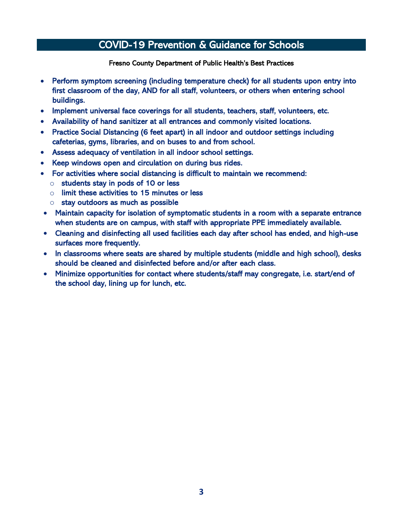### COVID-19 Prevention & Guidance for Schools

Fresno County Department of Public Health's Best Practices

- Perform symptom screening (including temperature check) for all students upon entry into first classroom of the day, AND for all staff, volunteers, or others when entering school buildings.
- Implement universal face coverings for all students, teachers, staff, volunteers, etc.
- Availability of hand sanitizer at all entrances and commonly visited locations.
- Practice Social Distancing (6 feet apart) in all indoor and outdoor settings including cafeterias, gyms, libraries, and on buses to and from school.
- Assess adequacy of ventilation in all indoor school settings.
- Keep windows open and circulation on during bus rides.
- For activities where social distancing is difficult to maintain we recommend:
	- $\circ$  students stay in pods of 10 or less
	- $\circ$  limit these activities to 15 minutes or less
	- o stay outdoors as much as possible
- Maintain capacity for isolation of symptomatic students in a room with a separate entrance when students are on campus, with staff with appropriate PPE immediately available.
- Cleaning and disinfecting all used facilities each day after school has ended, and high-use surfaces more frequently.
- In classrooms where seats are shared by multiple students (middle and high school), desks should be cleaned and disinfected before and/or after each class.
- Minimize opportunities for contact where students/staff may congregate, i.e. start/end of the school day, lining up for lunch, etc.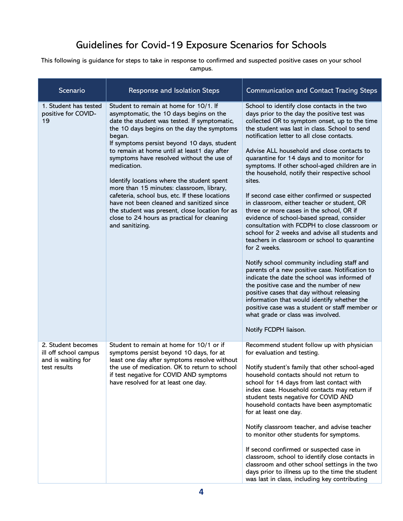## Guidelines for Covid-19 Exposure Scenarios for Schools

This following is guidance for steps to take in response to confirmed and suspected positive cases on your school campus.

| Scenario                                                                          | Response and Isolation Steps                                                                                                                                                                                                                                                                                                                                                                                                                                                                                                                                                                                                                                      | <b>Communication and Contact Tracing Steps</b>                                                                                                                                                                                                                                                                                                                                                                                                                                                                                                                                                                                                                                                                                                                                                                                                                                                                                                                                                                                                                                                                                                                                                                           |
|-----------------------------------------------------------------------------------|-------------------------------------------------------------------------------------------------------------------------------------------------------------------------------------------------------------------------------------------------------------------------------------------------------------------------------------------------------------------------------------------------------------------------------------------------------------------------------------------------------------------------------------------------------------------------------------------------------------------------------------------------------------------|--------------------------------------------------------------------------------------------------------------------------------------------------------------------------------------------------------------------------------------------------------------------------------------------------------------------------------------------------------------------------------------------------------------------------------------------------------------------------------------------------------------------------------------------------------------------------------------------------------------------------------------------------------------------------------------------------------------------------------------------------------------------------------------------------------------------------------------------------------------------------------------------------------------------------------------------------------------------------------------------------------------------------------------------------------------------------------------------------------------------------------------------------------------------------------------------------------------------------|
| 1. Student has tested<br>positive for COVID-<br>19                                | Student to remain at home for 10/1. If<br>asymptomatic, the 10 days begins on the<br>date the student was tested. If symptomatic,<br>the 10 days begins on the day the symptoms<br>began.<br>If symptoms persist beyond 10 days, student<br>to remain at home until at least1 day after<br>symptoms have resolved without the use of<br>medication.<br>Identify locations where the student spent<br>more than 15 minutes: classroom, library,<br>cafeteria, school bus, etc. If these locations<br>have not been cleaned and sanitized since<br>the student was present, close location for as<br>close to 24 hours as practical for cleaning<br>and sanitizing. | School to identify close contacts in the two<br>days prior to the day the positive test was<br>collected OR to symptom onset, up to the time<br>the student was last in class. School to send<br>notification letter to all close contacts.<br>Advise ALL household and close contacts to<br>quarantine for 14 days and to monitor for<br>symptoms. If other school-aged children are in<br>the household, notify their respective school<br>sites.<br>If second case either confirmed or suspected<br>in classroom, either teacher or student, OR<br>three or more cases in the school, OR if<br>evidence of school-based spread, consider<br>consultation with FCDPH to close classroom or<br>school for 2 weeks and advise all students and<br>teachers in classroom or school to quarantine<br>for 2 weeks.<br>Notify school community including staff and<br>parents of a new positive case. Notification to<br>indicate the date the school was informed of<br>the positive case and the number of new<br>positive cases that day without releasing<br>information that would identify whether the<br>positive case was a student or staff member or<br>what grade or class was involved.<br>Notify FCDPH liaison. |
| 2. Student becomes<br>ill off school campus<br>and is waiting for<br>test results | Student to remain at home for 10/1 or if<br>symptoms persist beyond 10 days, for at<br>least one day after symptoms resolve without<br>the use of medication. OK to return to school<br>if test negative for COVID AND symptoms<br>have resolved for at least one day.                                                                                                                                                                                                                                                                                                                                                                                            | Recommend student follow up with physician<br>for evaluation and testing.<br>Notify student's family that other school-aged<br>household contacts should not return to<br>school for 14 days from last contact with<br>index case. Household contacts may return if<br>student tests negative for COVID AND<br>household contacts have been asymptomatic<br>for at least one day.<br>Notify classroom teacher, and advise teacher<br>to monitor other students for symptoms.<br>If second confirmed or suspected case in<br>classroom, school to identify close contacts in<br>classroom and other school settings in the two<br>days prior to illness up to the time the student<br>was last in class, including key contributing                                                                                                                                                                                                                                                                                                                                                                                                                                                                                       |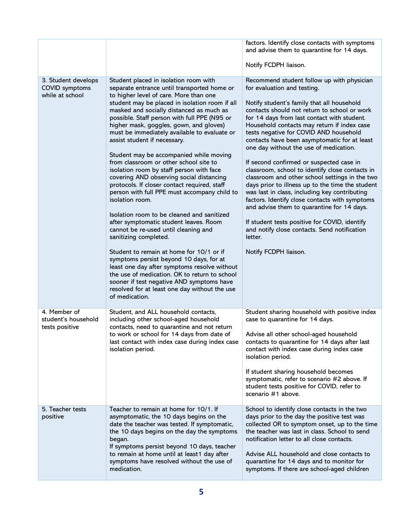|                                                                 |                                                                                                                                                                                                                                                                                                                                                                                                                                                                                                                                                                                                                                                                                                                                                                                                                                                                                                                                                                                                                                                                                                                                                                          | factors. Identify close contacts with symptoms<br>and advise them to quarantine for 14 days.                                                                                                                                                                                                                                                                                                                                                                                                                                                                                                                                                                                                                                                                                                                                                                                                         |
|-----------------------------------------------------------------|--------------------------------------------------------------------------------------------------------------------------------------------------------------------------------------------------------------------------------------------------------------------------------------------------------------------------------------------------------------------------------------------------------------------------------------------------------------------------------------------------------------------------------------------------------------------------------------------------------------------------------------------------------------------------------------------------------------------------------------------------------------------------------------------------------------------------------------------------------------------------------------------------------------------------------------------------------------------------------------------------------------------------------------------------------------------------------------------------------------------------------------------------------------------------|------------------------------------------------------------------------------------------------------------------------------------------------------------------------------------------------------------------------------------------------------------------------------------------------------------------------------------------------------------------------------------------------------------------------------------------------------------------------------------------------------------------------------------------------------------------------------------------------------------------------------------------------------------------------------------------------------------------------------------------------------------------------------------------------------------------------------------------------------------------------------------------------------|
|                                                                 |                                                                                                                                                                                                                                                                                                                                                                                                                                                                                                                                                                                                                                                                                                                                                                                                                                                                                                                                                                                                                                                                                                                                                                          | Notify FCDPH liaison.                                                                                                                                                                                                                                                                                                                                                                                                                                                                                                                                                                                                                                                                                                                                                                                                                                                                                |
| 3. Student develops<br><b>COVID</b> symptoms<br>while at school | Student placed in isolation room with<br>separate entrance until transported home or<br>to higher level of care. More than one<br>student may be placed in isolation room if all<br>masked and socially distanced as much as<br>possible. Staff person with full PPE (N95 or<br>higher mask, goggles, gown, and gloves)<br>must be immediately available to evaluate or<br>assist student if necessary.<br>Student may be accompanied while moving<br>from classroom or other school site to<br>isolation room by staff person with face<br>covering AND observing social distancing<br>protocols. If closer contact required, staff<br>person with full PPE must accompany child to<br>isolation room.<br>Isolation room to be cleaned and sanitized<br>after symptomatic student leaves. Room<br>cannot be re-used until cleaning and<br>sanitizing completed.<br>Student to remain at home for 10/1 or if<br>symptoms persist beyond 10 days, for at<br>least one day after symptoms resolve without<br>the use of medication. OK to return to school<br>sooner if test negative AND symptoms have<br>resolved for at least one day without the use<br>of medication. | Recommend student follow up with physician<br>for evaluation and testing.<br>Notify student's family that all household<br>contacts should not return to school or work<br>for 14 days from last contact with student.<br>Household contacts may return if index case<br>tests negative for COVID AND household<br>contacts have been asymptomatic for at least<br>one day without the use of medication.<br>If second confirmed or suspected case in<br>classroom, school to identify close contacts in<br>classroom and other school settings in the two<br>days prior to illness up to the time the student<br>was last in class, including key contributing<br>factors. Identify close contacts with symptoms<br>and advise them to quarantine for 14 days.<br>If student tests positive for COVID, identify<br>and notify close contacts. Send notification<br>letter.<br>Notify FCDPH liaison. |
| 4. Member of<br>student's household<br>tests positive           | Student, and ALL household contacts,<br>including other school-aged household<br>contacts, need to quarantine and not return<br>to work or school for 14 days from date of<br>last contact with index case during index case<br>isolation period.                                                                                                                                                                                                                                                                                                                                                                                                                                                                                                                                                                                                                                                                                                                                                                                                                                                                                                                        | Student sharing household with positive index<br>case to quarantine for 14 days.<br>Advise all other school-aged household<br>contacts to quarantine for 14 days after last<br>contact with index case during index case<br>isolation period.<br>If student sharing household becomes<br>symptomatic, refer to scenario #2 above. If<br>student tests positive for COVID, refer to<br>scenario #1 above.                                                                                                                                                                                                                                                                                                                                                                                                                                                                                             |
| 5. Teacher tests<br>positive                                    | Teacher to remain at home for 10/1. If<br>asymptomatic, the 10 days begins on the<br>date the teacher was tested. If symptomatic,<br>the 10 days begins on the day the symptoms<br>began.<br>If symptoms persist beyond 10 days, teacher<br>to remain at home until at least1 day after<br>symptoms have resolved without the use of<br>medication.                                                                                                                                                                                                                                                                                                                                                                                                                                                                                                                                                                                                                                                                                                                                                                                                                      | School to identify close contacts in the two<br>days prior to the day the positive test was<br>collected OR to symptom onset, up to the time<br>the teacher was last in class. School to send<br>notification letter to all close contacts.<br>Advise ALL household and close contacts to<br>quarantine for 14 days and to monitor for<br>symptoms. If there are school-aged children                                                                                                                                                                                                                                                                                                                                                                                                                                                                                                                |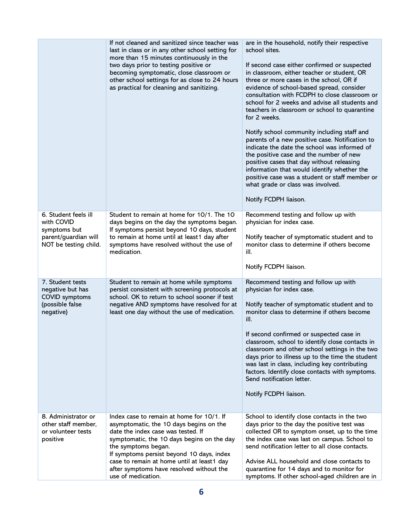|                                                                                                     | If not cleaned and sanitized since teacher was<br>last in class or in any other school setting for<br>more than 15 minutes continuously in the<br>two days prior to testing positive or<br>becoming symptomatic, close classroom or<br>other school settings for as close to 24 hours<br>as practical for cleaning and sanitizing.                           | are in the household, notify their respective<br>school sites.<br>If second case either confirmed or suspected<br>in classroom, either teacher or student, OR<br>three or more cases in the school, OR if<br>evidence of school-based spread, consider<br>consultation with FCDPH to close classroom or<br>school for 2 weeks and advise all students and<br>teachers in classroom or school to quarantine<br>for 2 weeks.<br>Notify school community including staff and<br>parents of a new positive case. Notification to<br>indicate the date the school was informed of<br>the positive case and the number of new<br>positive cases that day without releasing<br>information that would identify whether the<br>positive case was a student or staff member or<br>what grade or class was involved.<br>Notify FCDPH liaison. |
|-----------------------------------------------------------------------------------------------------|--------------------------------------------------------------------------------------------------------------------------------------------------------------------------------------------------------------------------------------------------------------------------------------------------------------------------------------------------------------|-------------------------------------------------------------------------------------------------------------------------------------------------------------------------------------------------------------------------------------------------------------------------------------------------------------------------------------------------------------------------------------------------------------------------------------------------------------------------------------------------------------------------------------------------------------------------------------------------------------------------------------------------------------------------------------------------------------------------------------------------------------------------------------------------------------------------------------|
| 6. Student feels ill<br>with COVID<br>symptoms but<br>parent/guardian will<br>NOT be testing child. | Student to remain at home for 10/1. The 10<br>days begins on the day the symptoms began.<br>If symptoms persist beyond 10 days, student<br>to remain at home until at least1 day after<br>symptoms have resolved without the use of<br>medication.                                                                                                           | Recommend testing and follow up with<br>physician for index case.<br>Notify teacher of symptomatic student and to<br>monitor class to determine if others become<br>ill.<br>Notify FCDPH liaison.                                                                                                                                                                                                                                                                                                                                                                                                                                                                                                                                                                                                                                   |
| 7. Student tests<br>negative but has<br>COVID symptoms<br>(possible false<br>negative)              | Student to remain at home while symptoms<br>persist consistent with screening protocols at<br>school. OK to return to school sooner if test<br>negative AND symptoms have resolved for at<br>least one day without the use of medication.                                                                                                                    | Recommend testing and follow up with<br>physician for index case.<br>Notify teacher of symptomatic student and to<br>monitor class to determine if others become<br>ill.<br>If second confirmed or suspected case in<br>classroom, school to identify close contacts in<br>classroom and other school settings in the two<br>days prior to illness up to the time the student<br>was last in class, including key contributing<br>factors. Identify close contacts with symptoms.<br>Send notification letter.<br>Notify FCDPH liaison.                                                                                                                                                                                                                                                                                             |
| 8. Administrator or<br>other staff member,<br>or volunteer tests<br>positive                        | Index case to remain at home for 10/1. If<br>asymptomatic, the 10 days begins on the<br>date the index case was tested. If<br>symptomatic, the 10 days begins on the day<br>the symptoms began.<br>If symptoms persist beyond 10 days, index<br>case to remain at home until at least1 day<br>after symptoms have resolved without the<br>use of medication. | School to identify close contacts in the two<br>days prior to the day the positive test was<br>collected OR to symptom onset, up to the time<br>the index case was last on campus. School to<br>send notification letter to all close contacts.<br>Advise ALL household and close contacts to<br>quarantine for 14 days and to monitor for<br>symptoms. If other school-aged children are in                                                                                                                                                                                                                                                                                                                                                                                                                                        |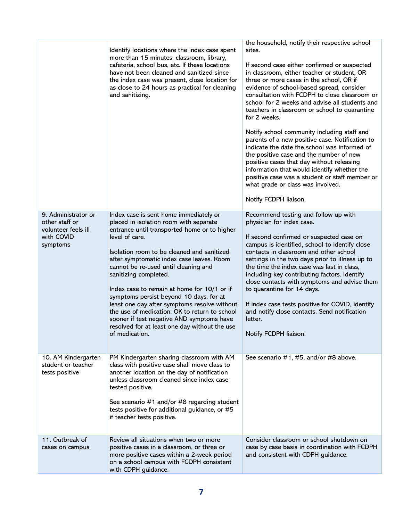|                                                                                        | Identify locations where the index case spent<br>more than 15 minutes: classroom, library,<br>cafeteria, school bus, etc. If these locations<br>have not been cleaned and sanitized since<br>the index case was present, close location for<br>as close to 24 hours as practical for cleaning<br>and sanitizing.                                                                                                                                                                                                                                                                                                          | the household, notify their respective school<br>sites.<br>If second case either confirmed or suspected<br>in classroom, either teacher or student, OR<br>three or more cases in the school, OR if<br>evidence of school-based spread, consider<br>consultation with FCDPH to close classroom or<br>school for 2 weeks and advise all students and<br>teachers in classroom or school to quarantine<br>for 2 weeks.<br>Notify school community including staff and<br>parents of a new positive case. Notification to<br>indicate the date the school was informed of<br>the positive case and the number of new<br>positive cases that day without releasing<br>information that would identify whether the<br>positive case was a student or staff member or<br>what grade or class was involved.<br>Notify FCDPH liaison. |
|----------------------------------------------------------------------------------------|---------------------------------------------------------------------------------------------------------------------------------------------------------------------------------------------------------------------------------------------------------------------------------------------------------------------------------------------------------------------------------------------------------------------------------------------------------------------------------------------------------------------------------------------------------------------------------------------------------------------------|------------------------------------------------------------------------------------------------------------------------------------------------------------------------------------------------------------------------------------------------------------------------------------------------------------------------------------------------------------------------------------------------------------------------------------------------------------------------------------------------------------------------------------------------------------------------------------------------------------------------------------------------------------------------------------------------------------------------------------------------------------------------------------------------------------------------------|
| 9. Administrator or<br>other staff or<br>volunteer feels ill<br>with COVID<br>symptoms | Index case is sent home immediately or<br>placed in isolation room with separate<br>entrance until transported home or to higher<br>level of care.<br>Isolation room to be cleaned and sanitized<br>after symptomatic index case leaves. Room<br>cannot be re-used until cleaning and<br>sanitizing completed.<br>Index case to remain at home for 10/1 or if<br>symptoms persist beyond 10 days, for at<br>least one day after symptoms resolve without<br>the use of medication. OK to return to school<br>sooner if test negative AND symptoms have<br>resolved for at least one day without the use<br>of medication. | Recommend testing and follow up with<br>physician for index case.<br>If second confirmed or suspected case on<br>campus is identified, school to identify close<br>contacts in classroom and other school<br>settings in the two days prior to illness up to<br>the time the index case was last in class,<br>including key contributing factors. Identify<br>close contacts with symptoms and advise them<br>to quarantine for 14 days.<br>If index case tests positive for COVID, identify<br>and notify close contacts. Send notification<br>letter.<br>Notify FCDPH liaison.                                                                                                                                                                                                                                             |
| 10. AM Kindergarten<br>student or teacher<br>tests positive                            | PM Kindergarten sharing classroom with AM<br>class with positive case shall move class to<br>another location on the day of notification<br>unless classroom cleaned since index case<br>tested positive.<br>See scenario #1 and/or #8 regarding student<br>tests positive for additional guidance, or #5<br>if teacher tests positive.                                                                                                                                                                                                                                                                                   | See scenario #1, #5, and/or #8 above.                                                                                                                                                                                                                                                                                                                                                                                                                                                                                                                                                                                                                                                                                                                                                                                        |
| 11. Outbreak of<br>cases on campus                                                     | Review all situations when two or more<br>positive cases in a classroom, or three or<br>more positive cases within a 2-week period<br>on a school campus with FCDPH consistent<br>with CDPH guidance.                                                                                                                                                                                                                                                                                                                                                                                                                     | Consider classroom or school shutdown on<br>case by case basis in coordination with FCDPH<br>and consistent with CDPH guidance.                                                                                                                                                                                                                                                                                                                                                                                                                                                                                                                                                                                                                                                                                              |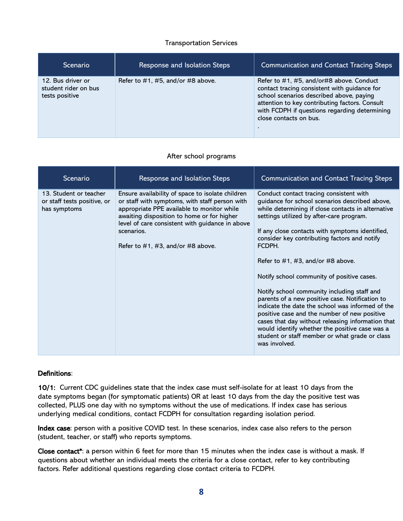#### Transportation Services

| <b>Scenario</b>                                             | <b>Response and Isolation Steps</b> | <b>Communication and Contact Tracing Steps</b>                                                                                                                                                                                                                    |
|-------------------------------------------------------------|-------------------------------------|-------------------------------------------------------------------------------------------------------------------------------------------------------------------------------------------------------------------------------------------------------------------|
| 12. Bus driver or<br>student rider on bus<br>tests positive | Refer to $#1, #5, and/or #8 above.$ | Refer to #1, #5, and/or#8 above. Conduct<br>contact tracing consistent with guidance for<br>school scenarios described above, paying<br>attention to key contributing factors. Consult<br>with FCDPH if questions regarding determining<br>close contacts on bus. |

#### After school programs

| Scenario                                                              | Response and Isolation Steps                                                                                                                                                                                                                                                                           | <b>Communication and Contact Tracing Steps</b>                                                                                                                                                                                                                                                                                                                                                                                                                                                                                                                                                                                                                                                                                                                                |
|-----------------------------------------------------------------------|--------------------------------------------------------------------------------------------------------------------------------------------------------------------------------------------------------------------------------------------------------------------------------------------------------|-------------------------------------------------------------------------------------------------------------------------------------------------------------------------------------------------------------------------------------------------------------------------------------------------------------------------------------------------------------------------------------------------------------------------------------------------------------------------------------------------------------------------------------------------------------------------------------------------------------------------------------------------------------------------------------------------------------------------------------------------------------------------------|
| 13. Student or teacher<br>or staff tests positive, or<br>has symptoms | Ensure availability of space to isolate children<br>or staff with symptoms, with staff person with<br>appropriate PPE available to monitor while<br>awaiting disposition to home or for higher<br>level of care consistent with guidance in above<br>scenarios.<br>Refer to $#1, #3, and/or #8 above.$ | Conduct contact tracing consistent with<br>guidance for school scenarios described above,<br>while determining if close contacts in alternative<br>settings utilized by after-care program.<br>If any close contacts with symptoms identified,<br>consider key contributing factors and notify<br>FCDPH.<br>Refer to $#1, #3, and/or #8 above.$<br>Notify school community of positive cases.<br>Notify school community including staff and<br>parents of a new positive case. Notification to<br>indicate the date the school was informed of the<br>positive case and the number of new positive<br>cases that day without releasing information that<br>would identify whether the positive case was a<br>student or staff member or what grade or class<br>was involved. |

#### Definitions:

10/1: Current CDC guidelines state that the index case must self-isolate for at least 10 days from the date symptoms began (for symptomatic patients) OR at least 10 days from the day the positive test was collected, PLUS one day with no symptoms without the use of medications. If index case has serious underlying medical conditions, contact FCDPH for consultation regarding isolation period.

Index case: person with a positive COVID test. In these scenarios, index case also refers to the person (student, teacher, or staff) who reports symptoms.

Close contact\*: a person within 6 feet for more than 15 minutes when the index case is without a mask. If questions about whether an individual meets the criteria for a close contact, refer to key contributing factors. Refer additional questions regarding close contact criteria to FCDPH.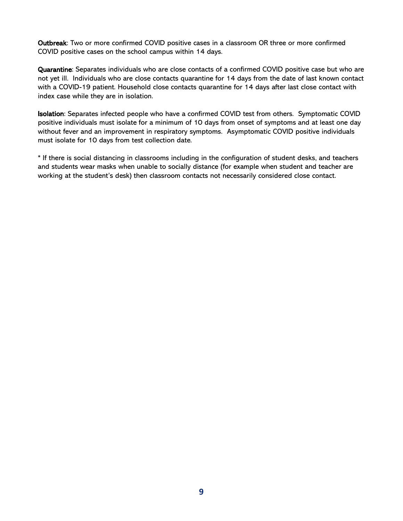Outbreak: Two or more confirmed COVID positive cases in a classroom OR three or more confirmed COVID positive cases on the school campus within 14 days.

Quarantine: Separates individuals who are close contacts of a confirmed COVID positive case but who are not yet ill. Individuals who are close contacts quarantine for 14 days from the date of last known contact with a COVID-19 patient. Household close contacts quarantine for 14 days after last close contact with index case while they are in isolation.

Isolation: Separates infected people who have a confirmed COVID test from others. Symptomatic COVID positive individuals must isolate for a minimum of 10 days from onset of symptoms and at least one day without fever and an improvement in respiratory symptoms. Asymptomatic COVID positive individuals must isolate for 10 days from test collection date.

\* If there is social distancing in classrooms including in the configuration of student desks, and teachers and students wear masks when unable to socially distance (for example when student and teacher are working at the student's desk) then classroom contacts not necessarily considered close contact.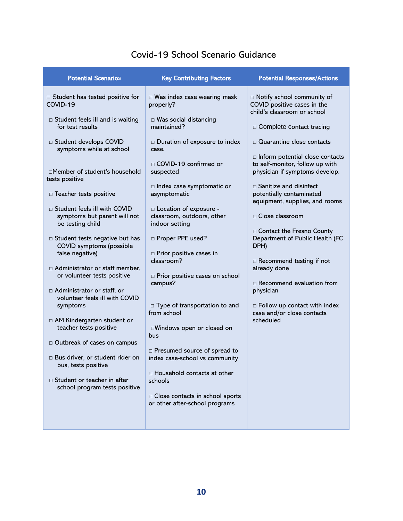| <b>Potential Scenarios</b>                                                         | <b>Key Contributing Factors</b>                                          | <b>Potential Responses/Actions</b>                                                          |
|------------------------------------------------------------------------------------|--------------------------------------------------------------------------|---------------------------------------------------------------------------------------------|
| Student has tested positive for<br>COVID-19                                        | $\Box$ Was index case wearing mask<br>properly?                          | □ Notify school community of<br>COVID positive cases in the<br>child's classroom or school  |
| $\Box$ Student feels ill and is waiting<br>for test results                        | $\Box$ Was social distancing<br>maintained?                              | $\Box$ Complete contact tracing                                                             |
| □ Student develops COVID<br>symptoms while at school                               | Duration of exposure to index<br>case.                                   | □ Quarantine close contacts<br>n Inform potential close contacts                            |
| □Member of student's household<br>tests positive                                   | □ COVID-19 confirmed or<br>suspected                                     | to self-monitor, follow up with<br>physician if symptoms develop.                           |
| □ Teacher tests positive                                                           | $\Box$ Index case symptomatic or<br>asymptomatic                         | $\Box$ Sanitize and disinfect<br>potentially contaminated<br>equipment, supplies, and rooms |
| □ Student feels ill with COVID<br>symptoms but parent will not<br>be testing child | □ Location of exposure -<br>classroom, outdoors, other<br>indoor setting | □ Close classroom                                                                           |
| □ Student tests negative but has<br>COVID symptoms (possible<br>false negative)    | □ Proper PPE used?<br>$\square$ Prior positive cases in                  | □ Contact the Fresno County<br>Department of Public Health (FC<br>DPH)                      |
| □ Administrator or staff member,<br>or volunteer tests positive                    | classroom?<br>□ Prior positive cases on school                           | □ Recommend testing if not<br>already done                                                  |
| □ Administrator or staff, or<br>volunteer feels ill with COVID                     | campus?                                                                  | $\Box$ Recommend evaluation from<br>physician                                               |
| symptoms<br>□ AM Kindergarten student or                                           | $\Box$ Type of transportation to and<br>from school                      | $\Box$ Follow up contact with index<br>case and/or close contacts<br>scheduled              |
| teacher tests positive                                                             | □Windows open or closed on<br>bus                                        |                                                                                             |
| □ Outbreak of cases on campus                                                      | □ Presumed source of spread to                                           |                                                                                             |
| $\Box$ Bus driver, or student rider on<br>bus, tests positive                      | index case-school vs community                                           |                                                                                             |
| □ Student or teacher in after<br>school program tests positive                     | $\Box$ Household contacts at other<br>schools                            |                                                                                             |
|                                                                                    | □ Close contacts in school sports<br>or other after-school programs      |                                                                                             |
|                                                                                    |                                                                          |                                                                                             |

## Covid-19 School Scenario Guidance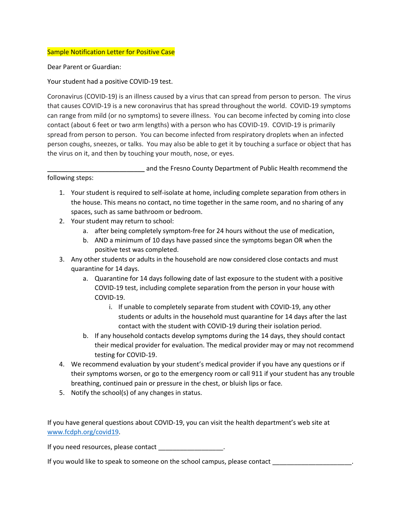#### Sample Notification Letter for Positive Case

Dear Parent or Guardian:

Your student had a positive COVID-19 test.

Coronavirus (COVID-19) is an illness caused by a virus that can spread from person to person. The virus that causes COVID-19 is a new coronavirus that has spread throughout the world. COVID-19 symptoms can range from mild (or no symptoms) to severe illness. You can become infected by coming into close contact (about 6 feet or two arm lengths) with a person who has COVID-19. COVID-19 is primarily spread from person to person. You can become infected from respiratory droplets when an infected person coughs, sneezes, or talks. You may also be able to get it by touching a surface or object that has the virus on it, and then by touching your mouth, nose, or eyes.

\_\_\_\_\_\_\_\_\_\_\_\_\_\_\_\_\_\_\_\_\_\_\_\_\_\_\_ and the Fresno County Department of Public Health recommend the

following steps:

- 1. Your student is required to self-isolate at home, including complete separation from others in the house. This means no contact, no time together in the same room, and no sharing of any spaces, such as same bathroom or bedroom.
- 2. Your student may return to school:
	- a. after being completely symptom-free for 24 hours without the use of medication,
	- b. AND a minimum of 10 days have passed since the symptoms began OR when the positive test was completed.
- 3. Any other students or adults in the household are now considered close contacts and must quarantine for 14 days.
	- a. Quarantine for 14 days following date of last exposure to the student with a positive COVID-19 test, including complete separation from the person in your house with COVID-19.
		- i. If unable to completely separate from student with COVID-19, any other students or adults in the household must quarantine for 14 days after the last contact with the student with COVID-19 during their isolation period.
	- b. If any household contacts develop symptoms during the 14 days, they should contact their medical provider for evaluation. The medical provider may or may not recommend testing for COVID-19.
- 4. We recommend evaluation by your student's medical provider if you have any questions or if their symptoms worsen, or go to the emergency room or call 911 if your student has any trouble breathing, continued pain or pressure in the chest, or bluish lips or face.
- 5. Notify the school(s) of any changes in status.

If you have general questions about COVID-19, you can visit the health department's web site at www.fcdph.org/covid19.

If you need resources, please contact \_\_\_\_\_\_\_\_\_\_\_\_\_\_\_\_\_\_.

If you would like to speak to someone on the school campus, please contact \_\_\_\_\_\_\_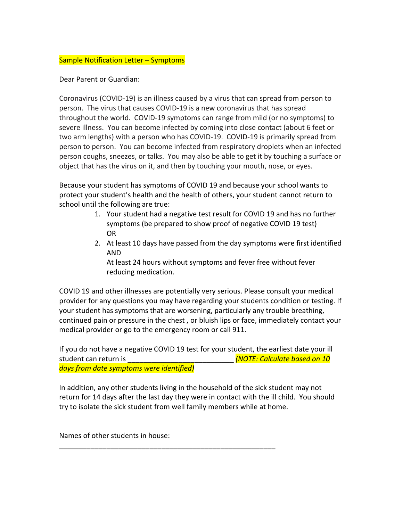#### Sample Notification Letter – Symptoms

Dear Parent or Guardian:

Coronavirus (COVID-19) is an illness caused by a virus that can spread from person to person. The virus that causes COVID-19 is a new coronavirus that has spread throughout the world. COVID-19 symptoms can range from mild (or no symptoms) to severe illness. You can become infected by coming into close contact (about 6 feet or two arm lengths) with a person who has COVID-19. COVID-19 is primarily spread from person to person. You can become infected from respiratory droplets when an infected person coughs, sneezes, or talks. You may also be able to get it by touching a surface or object that has the virus on it, and then by touching your mouth, nose, or eyes.

Because your student has symptoms of COVID 19 and because your school wants to protect your student's health and the health of others, your student cannot return to school until the following are true:

- 1. Your student had a negative test result for COVID 19 and has no further symptoms (be prepared to show proof of negative COVID 19 test) OR
- 2. At least 10 days have passed from the day symptoms were first identified AND

At least 24 hours without symptoms and fever free without fever reducing medication.

COVID 19 and other illnesses are potentially very serious. Please consult your medical provider for any questions you may have regarding your students condition or testing. If your student has symptoms that are worsening, particularly any trouble breathing, continued pain or pressure in the chest , or bluish lips or face, immediately contact your medical provider or go to the emergency room or call 911.

If you do not have a negative COVID 19 test for your student, the earliest date your ill student can return is \_\_\_\_\_\_\_\_\_\_\_\_\_\_\_\_\_\_\_\_\_\_\_\_\_\_\_ *(NOTE: Calculate based on 10 days from date symptoms were identified)*

In addition, any other students living in the household of the sick student may not return for 14 days after the last day they were in contact with the ill child. You should try to isolate the sick student from well family members while at home.

\_\_\_\_\_\_\_\_\_\_\_\_\_\_\_\_\_\_\_\_\_\_\_\_\_\_\_\_\_\_\_\_\_\_\_\_\_\_\_\_\_\_\_\_\_\_\_\_\_\_\_\_\_\_\_

Names of other students in house: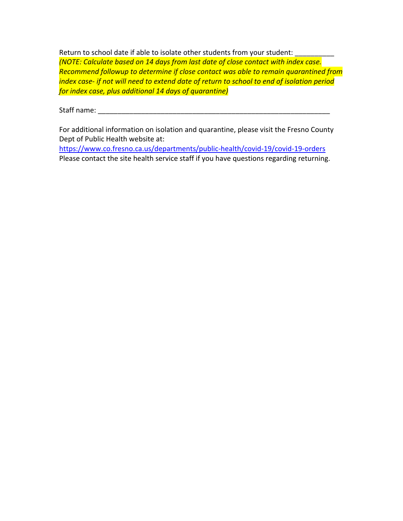Return to school date if able to isolate other students from your student: *(NOTE: Calculate based on 14 days from last date of close contact with index case. Recommend followup to determine if close contact was able to remain quarantined from index case- if not will need to extend date of return to school to end of isolation period for index case, plus additional 14 days of quarantine)*

Staff name: **Example 20** 

For additional information on isolation and quarantine, please visit the Fresno County Dept of Public Health website at:

https://www.co.fresno.ca.us/departments/public-health/covid-19/covid-19-orders Please contact the site health service staff if you have questions regarding returning.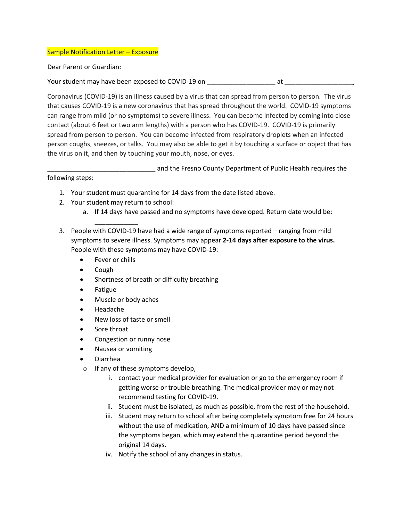#### Sample Notification Letter – Exposure

Dear Parent or Guardian:

Your student may have been exposed to COVID-19 on \_\_\_\_\_\_\_\_\_\_\_\_\_\_\_\_\_\_\_\_\_\_\_\_\_\_\_\_\_\_ at

Coronavirus (COVID-19) is an illness caused by a virus that can spread from person to person. The virus that causes COVID-19 is a new coronavirus that has spread throughout the world. COVID-19 symptoms can range from mild (or no symptoms) to severe illness. You can become infected by coming into close contact (about 6 feet or two arm lengths) with a person who has COVID-19. COVID-19 is primarily spread from person to person. You can become infected from respiratory droplets when an infected person coughs, sneezes, or talks. You may also be able to get it by touching a surface or object that has the virus on it, and then by touching your mouth, nose, or eyes.

\_\_\_\_\_\_\_\_\_\_\_\_\_\_\_\_\_\_\_\_\_\_\_\_\_\_\_\_\_\_ and the Fresno County Department of Public Health requires the

following steps:

- 1. Your student must quarantine for 14 days from the date listed above.
- 2. Your student may return to school:

\_\_\_\_\_\_\_\_\_\_\_\_.

- a. If 14 days have passed and no symptoms have developed. Return date would be:
- 3. People with COVID-19 have had a wide range of symptoms reported ranging from mild symptoms to severe illness. Symptoms may appear **2-14 days after exposure to the virus.** People with these symptoms may have COVID-19:
	- Fever or chills
	- Cough
	- Shortness of breath or difficulty breathing
	- Fatigue
	- Muscle or body aches
	- Headache
	- New loss of taste or smell
	- Sore throat
	- Congestion or runny nose
	- Nausea or vomiting
	- Diarrhea
	- o If any of these symptoms develop,
		- i. contact your medical provider for evaluation or go to the emergency room if getting worse or trouble breathing. The medical provider may or may not recommend testing for COVID-19.
		- ii. Student must be isolated, as much as possible, from the rest of the household.
		- iii. Student may return to school after being completely symptom free for 24 hours without the use of medication, AND a minimum of 10 days have passed since the symptoms began, which may extend the quarantine period beyond the original 14 days.
		- iv. Notify the school of any changes in status.